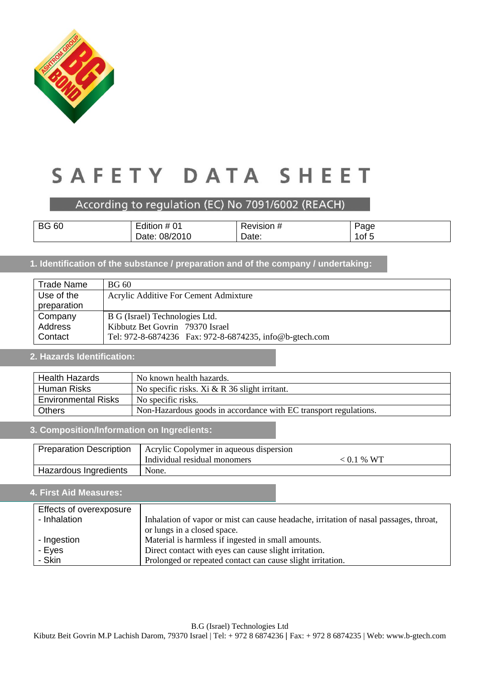

### According to regulation (EC) No 7091/6002 (REACH)

| <b>BG 60</b> | # 01<br>Edition $#$ | Revision # | Page  |
|--------------|---------------------|------------|-------|
|              | 08/2010<br>Date:    | Date:      | ∣of 5 |

### **1. Identification of the substance / preparation and of the company / undertaking:**

| <b>Trade Name</b> | <b>BG 60</b>                                             |
|-------------------|----------------------------------------------------------|
| Use of the        | Acrylic Additive For Cement Admixture                    |
| preparation       |                                                          |
| Company           | B G (Israel) Technologies Ltd.                           |
| Address           | Kibbutz Bet Govrin 79370 Israel                          |
| Contact           | Tel: 972-8-6874236  Fax: 972-8-6874235, info@b-gtech.com |

#### **2. Hazards Identification:**

| <b>Health Hazards</b>      | No known health hazards.                                         |
|----------------------------|------------------------------------------------------------------|
| Human Risks                | No specific risks. Xi $& R$ 36 slight irritant.                  |
| <b>Environmental Risks</b> | No specific risks.                                               |
| Others                     | Non-Hazardous goods in accordance with EC transport regulations. |

#### **3. Composition/Information on Ingredients:**

| <b>Preparation Description</b> | Acrylic Copolymer in aqueous dispersion |              |  |
|--------------------------------|-----------------------------------------|--------------|--|
|                                | Individual residual monomers            | $< 0.1 %$ WT |  |
| Hazardous Ingredients          | None.                                   |              |  |

### **4. First Aid Measures:**

| Effects of overexposure |                                                                                       |
|-------------------------|---------------------------------------------------------------------------------------|
| - Inhalation            | Inhalation of vapor or mist can cause headache, irritation of nasal passages, throat, |
|                         | or lungs in a closed space.                                                           |
| - Ingestion             | Material is harmless if ingested in small amounts.                                    |
| - Eyes                  | Direct contact with eyes can cause slight irritation.                                 |
| - Skin                  | Prolonged or repeated contact can cause slight irritation.                            |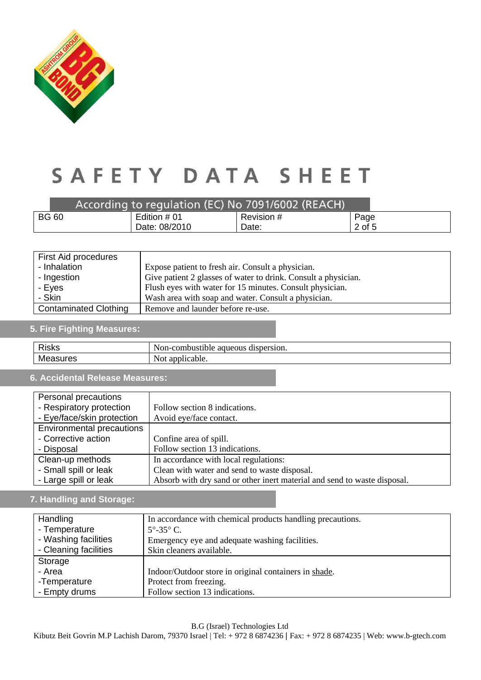

|              | According to regulation (EC) No 7091/6002 (REACH) |            |        |
|--------------|---------------------------------------------------|------------|--------|
| <b>BG 60</b> | Edition # 01                                      | Revision # | Page   |
|              | Date: 08/2010                                     | Date:      | 2 of 5 |

| First Aid procedures         |                                                                |
|------------------------------|----------------------------------------------------------------|
| - Inhalation                 | Expose patient to fresh air. Consult a physician.              |
| - Ingestion                  | Give patient 2 glasses of water to drink. Consult a physician. |
| - Eyes                       | Flush eyes with water for 15 minutes. Consult physician.       |
| - Skin                       | Wash area with soap and water. Consult a physician.            |
| <b>Contaminated Clothing</b> | Remove and launder before re-use.                              |

### **5. Fire Fighting Measures:**

| <b>Dicks</b><br>בחכור | dispersion.<br>Non<br>$\alpha$<br>51.011<br>nnustinie<br>ueous<br>11 – C<br>aс |
|-----------------------|--------------------------------------------------------------------------------|
| Me<br>.<br>11 O.C     | W.<br>licable.<br>$\sim$<br><b>NUL</b><br>.                                    |

### **6. Accidental Release Measures:**

| Personal precautions             |                                                                          |
|----------------------------------|--------------------------------------------------------------------------|
| - Respiratory protection         | Follow section 8 indications.                                            |
| - Eye/face/skin protection       | Avoid eye/face contact.                                                  |
| <b>Environmental precautions</b> |                                                                          |
| - Corrective action              | Confine area of spill.                                                   |
| - Disposal                       | Follow section 13 indications.                                           |
| Clean-up methods                 | In accordance with local regulations:                                    |
| - Small spill or leak            | Clean with water and send to waste disposal.                             |
| - Large spill or leak            | Absorb with dry sand or other inert material and send to waste disposal. |

### **7. Handling and Storage:**

| Handling              | In accordance with chemical products handling precautions. |
|-----------------------|------------------------------------------------------------|
| - Temperature         | $5^{\circ} - 35^{\circ}$ C.                                |
| - Washing facilities  | Emergency eye and adequate washing facilities.             |
| - Cleaning facilities | Skin cleaners available.                                   |
| Storage               |                                                            |
| - Area                | Indoor/Outdoor store in original containers in shade.      |
| -Temperature          | Protect from freezing.                                     |
| - Empty drums         | Follow section 13 indications.                             |

B.G (Israel) Technologies Ltd

Kibutz Beit Govrin M.P Lachish Darom, 79370 Israel | Tel: + 972 8 6874236 | Fax: + 972 8 6874235 | Web: www.b-gtech.com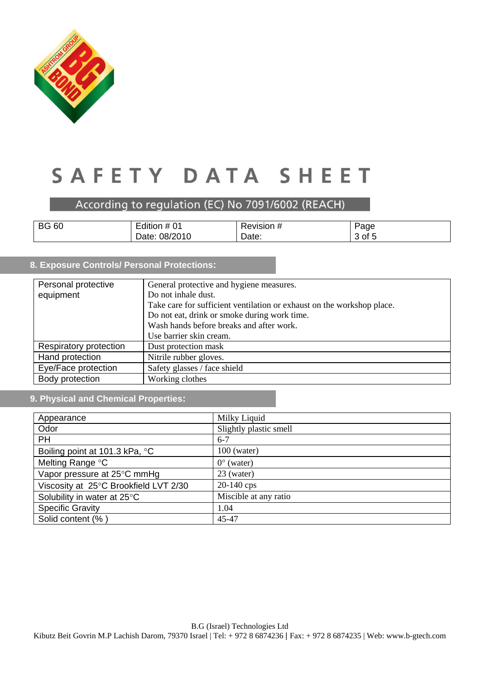

According to regulation (EC) No 7091/6002 (REACH)

| <b>BG</b><br>60 | $\overline{\phantom{0}}$<br>.<br>Edition # $01$ | <i><b>∢evision #</b></i> | Page               |
|-----------------|-------------------------------------------------|--------------------------|--------------------|
|                 | 08/2010<br>Date:                                | Date:                    | . –<br>' of L<br>ີ |

### **8. Exposure Controls/ Personal Protections:**

| Personal protective    | General protective and hygiene measures.                               |
|------------------------|------------------------------------------------------------------------|
| equipment              | Do not inhale dust.                                                    |
|                        | Take care for sufficient ventilation or exhaust on the workshop place. |
|                        | Do not eat, drink or smoke during work time.                           |
|                        | Wash hands before breaks and after work.                               |
|                        | Use barrier skin cream.                                                |
| Respiratory protection | Dust protection mask                                                   |
| Hand protection        | Nitrile rubber gloves.                                                 |
| Eye/Face protection    | Safety glasses / face shield                                           |
| Body protection        | Working clothes                                                        |

### **9. Physical and Chemical Properties:**

| Appearance                            | Milky Liquid           |
|---------------------------------------|------------------------|
| Odor                                  | Slightly plastic smell |
| <b>PH</b>                             | $6 - 7$                |
| Boiling point at 101.3 kPa, °C        | $100$ (water)          |
| Melting Range °C                      | $0^{\circ}$ (water)    |
| Vapor pressure at 25°C mmHg           | 23 (water)             |
| Viscosity at 25°C Brookfield LVT 2/30 | $20-140$ cps           |
| Solubility in water at 25°C           | Miscible at any ratio  |
| <b>Specific Gravity</b>               | 1.04                   |
| Solid content (%)                     | 45-47                  |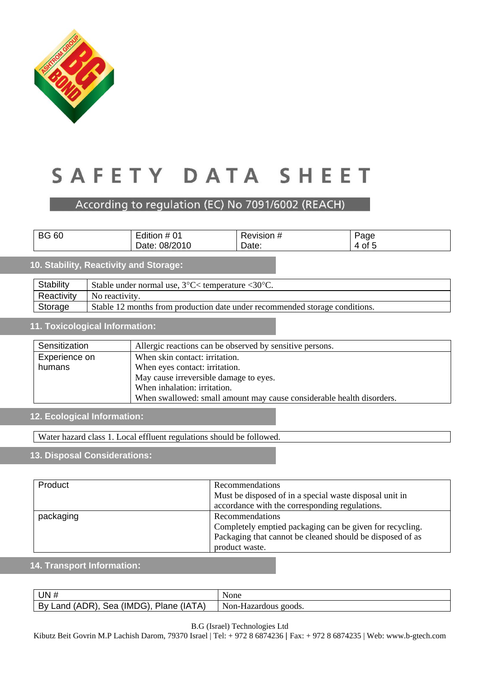

### According to regulation (EC) No 7091/6002 (REACH)

| <b>BG 60</b>                                                                              | Edition # 01                                                                | Revision # | Page   |  |  |
|-------------------------------------------------------------------------------------------|-----------------------------------------------------------------------------|------------|--------|--|--|
|                                                                                           | Date: 08/2010                                                               | Date:      | 4 of 5 |  |  |
| 10. Stability, Reactivity and Storage:                                                    |                                                                             |            |        |  |  |
| Stability<br>Stable under normal use, $3^{\circ}$ C $\lt$ temperature $\lt 30^{\circ}$ C. |                                                                             |            |        |  |  |
| Reactivity                                                                                | No reactivity.                                                              |            |        |  |  |
| Storage                                                                                   | Stable 12 months from production date under recommended storage conditions. |            |        |  |  |

#### **11. Toxicological Information:**

| Sensitization | Allergic reactions can be observed by sensitive persons.              |  |
|---------------|-----------------------------------------------------------------------|--|
| Experience on | When skin contact: irritation.                                        |  |
| humans        | When eyes contact: irritation.                                        |  |
|               | May cause irreversible damage to eyes.                                |  |
|               | When inhalation: irritation.                                          |  |
|               | When swallowed: small amount may cause considerable health disorders. |  |

### **12. Ecological Information:**

Water hazard class 1. Local effluent regulations should be followed.

### **13. Disposal Considerations:**

| Product   | <b>Recommendations</b>                                    |  |
|-----------|-----------------------------------------------------------|--|
|           | Must be disposed of in a special waste disposal unit in   |  |
|           | accordance with the corresponding regulations.            |  |
| packaging | Recommendations                                           |  |
|           | Completely emptied packaging can be given for recycling.  |  |
|           | Packaging that cannot be cleaned should be disposed of as |  |
|           | product waste.                                            |  |

### **14. Transport Information:**

| UN $#$                                  | None                 |
|-----------------------------------------|----------------------|
| By Land (ADR), Sea (IMDG), Plane (IATA) | Non-Hazardous goods. |

B.G (Israel) Technologies Ltd

Kibutz Beit Govrin M.P Lachish Darom, 79370 Israel | Tel: + 972 8 6874236 | Fax: + 972 8 6874235 | Web: www.b-gtech.com